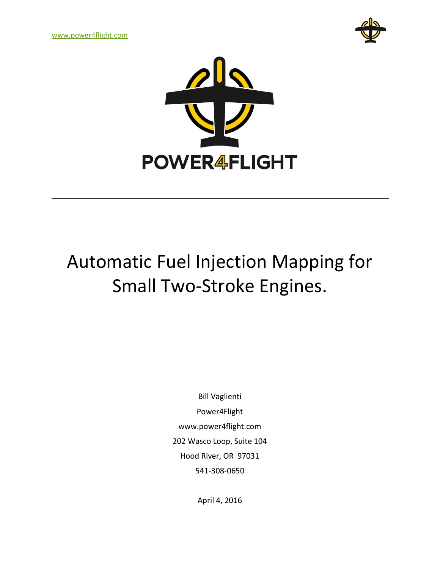[www.power4flight.com](http://www.power4flight.com/)





# Automatic Fuel Injection Mapping for Small Two-Stroke Engines.

Bill Vaglienti Power4Flight www.power4flight.com 202 Wasco Loop, Suite 104 Hood River, OR 97031 541-308-0650

April 4, 2016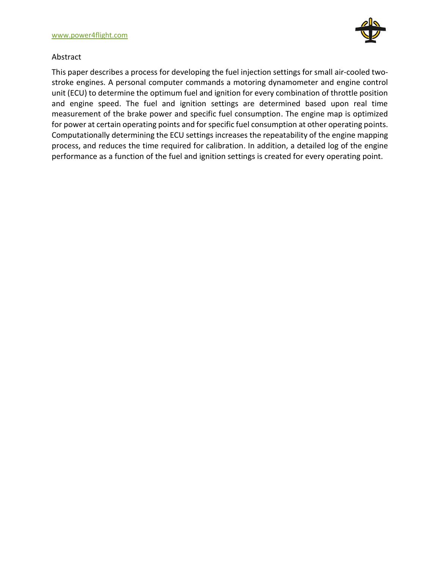

#### Abstract

This paper describes a process for developing the fuel injection settings for small air-cooled twostroke engines. A personal computer commands a motoring dynamometer and engine control unit (ECU) to determine the optimum fuel and ignition for every combination of throttle position and engine speed. The fuel and ignition settings are determined based upon real time measurement of the brake power and specific fuel consumption. The engine map is optimized for power at certain operating points and for specific fuel consumption at other operating points. Computationally determining the ECU settings increases the repeatability of the engine mapping process, and reduces the time required for calibration. In addition, a detailed log of the engine performance as a function of the fuel and ignition settings is created for every operating point.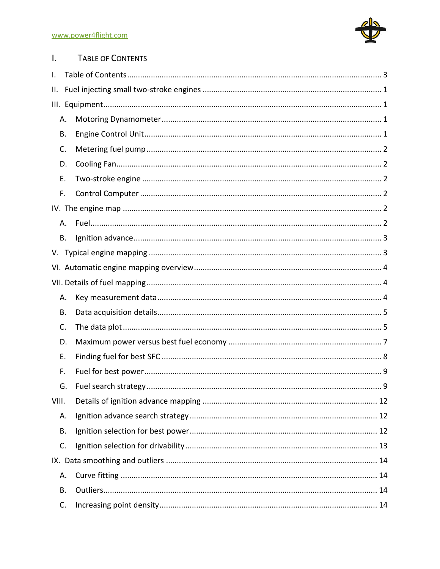

#### <span id="page-2-0"></span> $\mathbf{l}$ . TABLE OF CONTENTS

| I.    |    |  |
|-------|----|--|
| II.   |    |  |
|       |    |  |
|       | Α. |  |
|       | В. |  |
|       | C. |  |
|       | D. |  |
|       | Е. |  |
|       | F. |  |
|       |    |  |
|       | А. |  |
|       | B. |  |
|       |    |  |
|       |    |  |
|       |    |  |
|       | Α. |  |
|       | В. |  |
|       | C. |  |
|       | D. |  |
|       | Ε. |  |
|       | F. |  |
|       | G. |  |
| VIII. |    |  |
|       | А. |  |
|       | В. |  |
|       | C. |  |
|       |    |  |
|       | Α. |  |
|       | B. |  |
|       | C. |  |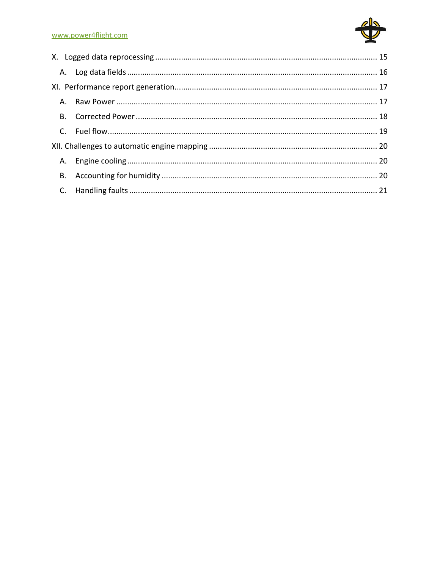#### www.power4flight.com

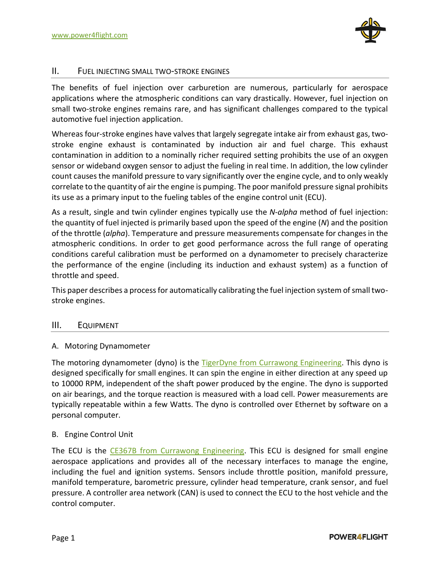

#### <span id="page-4-0"></span>II. FUEL INJECTING SMALL TWO-STROKE ENGINES

The benefits of fuel injection over carburetion are numerous, particularly for aerospace applications where the atmospheric conditions can vary drastically. However, fuel injection on small two-stroke engines remains rare, and has significant challenges compared to the typical automotive fuel injection application.

Whereas four-stroke engines have valves that largely segregate intake air from exhaust gas, twostroke engine exhaust is contaminated by induction air and fuel charge. This exhaust contamination in addition to a nominally richer required setting prohibits the use of an oxygen sensor or wideband oxygen sensor to adjust the fueling in real time. In addition, the low cylinder count causes the manifold pressure to vary significantly over the engine cycle, and to only weakly correlate to the quantity of air the engine is pumping. The poor manifold pressure signal prohibits its use as a primary input to the fueling tables of the engine control unit (ECU).

As a result, single and twin cylinder engines typically use the *N-alpha* method of fuel injection: the quantity of fuel injected is primarily based upon the speed of the engine (*N*) and the position of the throttle (*alpha*). Temperature and pressure measurements compensate for changes in the atmospheric conditions. In order to get good performance across the full range of operating conditions careful calibration must be performed on a dynamometer to precisely characterize the performance of the engine (including its induction and exhaust system) as a function of throttle and speed.

This paper describes a process for automatically calibrating the fuel injection system of small twostroke engines.

#### <span id="page-4-1"></span>III. EQUIPMENT

# <span id="page-4-2"></span>A. Motoring Dynamometer

The motoring dynamometer (dyno) is the [TigerDyne from Currawong Engineering.](http://www.currawongeng.com/products/dynamometer/) This dyno is designed specifically for small engines. It can spin the engine in either direction at any speed up to 10000 RPM, independent of the shaft power produced by the engine. The dyno is supported on air bearings, and the torque reaction is measured with a load cell. Power measurements are typically repeatable within a few Watts. The dyno is controlled over Ethernet by software on a personal computer.

#### <span id="page-4-3"></span>B. Engine Control Unit

The ECU is the [CE367B from Currawong Engineering.](http://www.currawongeng.com/products/uav_engines/ecu/) This ECU is designed for small engine aerospace applications and provides all of the necessary interfaces to manage the engine, including the fuel and ignition systems. Sensors include throttle position, manifold pressure, manifold temperature, barometric pressure, cylinder head temperature, crank sensor, and fuel pressure. A controller area network (CAN) is used to connect the ECU to the host vehicle and the control computer.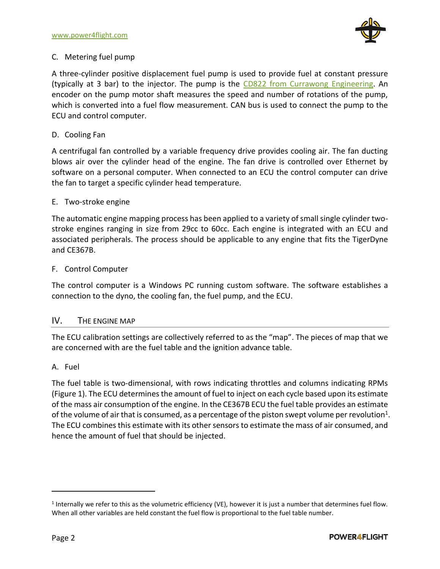

# <span id="page-5-0"></span>C. Metering fuel pump

A three-cylinder positive displacement fuel pump is used to provide fuel at constant pressure (typically at 3 bar) to the injector. The pump is the [CD822 from Currawong Engineering.](http://www.currawongeng.com/products/uav_engines/fuel-pumps/triplex/) An encoder on the pump motor shaft measures the speed and number of rotations of the pump, which is converted into a fuel flow measurement. CAN bus is used to connect the pump to the ECU and control computer.

# <span id="page-5-1"></span>D. Cooling Fan

A centrifugal fan controlled by a variable frequency drive provides cooling air. The fan ducting blows air over the cylinder head of the engine. The fan drive is controlled over Ethernet by software on a personal computer. When connected to an ECU the control computer can drive the fan to target a specific cylinder head temperature.

# <span id="page-5-2"></span>E. Two-stroke engine

The automatic engine mapping process has been applied to a variety of small single cylinder twostroke engines ranging in size from 29cc to 60cc. Each engine is integrated with an ECU and associated peripherals. The process should be applicable to any engine that fits the TigerDyne and CE367B.

# <span id="page-5-3"></span>F. Control Computer

The control computer is a Windows PC running custom software. The software establishes a connection to the dyno, the cooling fan, the fuel pump, and the ECU.

# <span id="page-5-4"></span>IV. THE ENGINE MAP

The ECU calibration settings are collectively referred to as the "map". The pieces of map that we are concerned with are the fuel table and the ignition advance table.

# <span id="page-5-5"></span>A. Fuel

The fuel table is two-dimensional, with rows indicating throttles and columns indicating RPMs [\(Figure 1\)](#page-6-2). The ECU determines the amount of fuel to inject on each cycle based upon its estimate of the mass air consumption of the engine. In the CE367B ECU the fuel table provides an estimate of the volume of air that is consumed, as a percentage of the piston swept volume per revolution<sup>1</sup>. The ECU combines this estimate with its other sensors to estimate the mass of air consumed, and hence the amount of fuel that should be injected.

 $<sup>1</sup>$  Internally we refer to this as the volumetric efficiency (VE), however it is just a number that determines fuel flow.</sup> When all other variables are held constant the fuel flow is proportional to the fuel table number.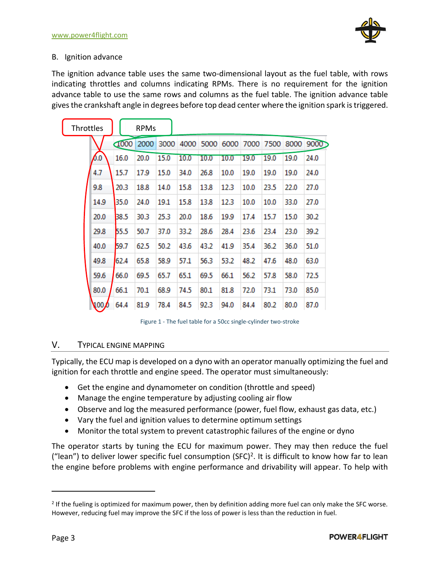# <span id="page-6-0"></span>B. Ignition advance

The ignition advance table uses the same two-dimensional layout as the fuel table, with rows indicating throttles and columns indicating RPMs. There is no requirement for the ignition advance table to use the same rows and columns as the fuel table. The ignition advance table gives the crankshaft angle in degrees before top dead center where the ignition spark istriggered.

| Throttles |              |      | <b>RPMs</b> |      |      |      |      |      |      |      |                                    |
|-----------|--------------|------|-------------|------|------|------|------|------|------|------|------------------------------------|
|           |              | 1000 | 2000        | 3000 |      |      |      |      |      |      | 4000 5000 6000 7000 7500 8000 9000 |
|           | 6.0          | 16.0 | 20.0        | 15.0 | 10.0 | 10.0 | 10.0 | 19.0 | 19.0 | 19.0 | 24.0                               |
|           | 4.7          | 15.7 | 17.9        | 15.0 | 34.0 | 26.8 | 10.0 | 19.0 | 19.0 | 19.0 | 24.0                               |
|           | 9.8          | 20.3 | 18.8        | 14.0 | 15.8 | 13.8 | 12.3 | 10.0 | 23.5 | 22.0 | 27.0                               |
|           | 14.9         | 35.0 | 24.0        | 19.1 | 15.8 | 13.8 | 12.3 | 10.0 | 10.0 | 33.0 | 27.0                               |
|           | 20.0         | 38.5 | 30.3        | 25.3 | 20.0 | 18.6 | 19.9 | 17.4 | 15.7 | 15.0 | 30.2                               |
|           | 29.8         | 55.5 | 50.7        | 37.0 | 33.2 | 28.6 | 28.4 | 23.6 | 23.4 | 23.0 | 39.2                               |
|           | 40.0         | 59.7 | 62.5        | 50.2 | 43.6 | 43.2 | 41.9 | 35.4 | 36.2 | 36.0 | 51.0                               |
|           | 49.8         | 62.4 | 65.8        | 58.9 | 57.1 | 56.3 | 53.2 | 48.2 | 47.6 | 48.0 | 63.0                               |
|           | 59.6         | 66.0 | 69.5        | 65.7 | 65.1 | 69.5 | 66.1 | 56.2 | 57.8 | 58.0 | 72.5                               |
|           | 80.0         | 66.1 | 70.1        | 68.9 | 74.5 | 80.1 | 81.8 | 72.0 | 73.1 | 73.0 | 85.0                               |
|           | $\sqrt{100}$ | 64.4 | 81.9        | 78.4 | 84.5 | 92.3 | 94.0 | 84.4 | 80.2 | 80.0 | 87.0                               |

Figure 1 - The fuel table for a 50cc single-cylinder two-stroke

# <span id="page-6-2"></span><span id="page-6-1"></span>V. TYPICAL ENGINE MAPPING

Typically, the ECU map is developed on a dyno with an operator manually optimizing the fuel and ignition for each throttle and engine speed. The operator must simultaneously:

- Get the engine and dynamometer on condition (throttle and speed)
- Manage the engine temperature by adjusting cooling air flow
- Observe and log the measured performance (power, fuel flow, exhaust gas data, etc.)
- Vary the fuel and ignition values to determine optimum settings
- Monitor the total system to prevent catastrophic failures of the engine or dyno

The operator starts by tuning the ECU for maximum power. They may then reduce the fuel ("lean") to deliver lower specific fuel consumption  $(SFC)^2$ . It is difficult to know how far to lean the engine before problems with engine performance and drivability will appear. To help with

<sup>&</sup>lt;sup>2</sup> If the fueling is optimized for maximum power, then by definition adding more fuel can only make the SFC worse. However, reducing fuel may improve the SFC if the loss of power is less than the reduction in fuel.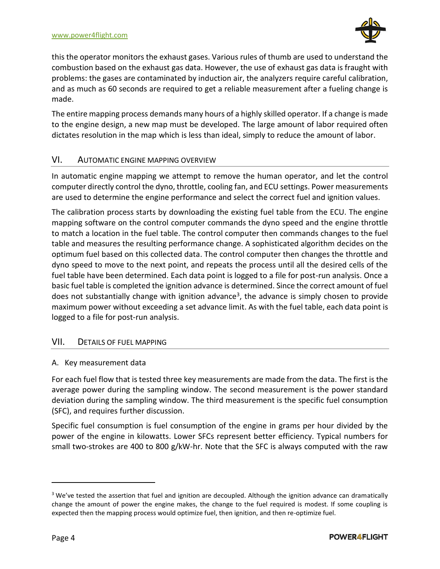

this the operator monitors the exhaust gases. Various rules of thumb are used to understand the combustion based on the exhaust gas data. However, the use of exhaust gas data is fraught with problems: the gases are contaminated by induction air, the analyzers require careful calibration, and as much as 60 seconds are required to get a reliable measurement after a fueling change is made.

The entire mapping process demands many hours of a highly skilled operator. If a change is made to the engine design, a new map must be developed. The large amount of labor required often dictates resolution in the map which is less than ideal, simply to reduce the amount of labor.

# <span id="page-7-0"></span>VI. AUTOMATIC ENGINE MAPPING OVERVIEW

In automatic engine mapping we attempt to remove the human operator, and let the control computer directly control the dyno, throttle, cooling fan, and ECU settings. Power measurements are used to determine the engine performance and select the correct fuel and ignition values.

The calibration process starts by downloading the existing fuel table from the ECU. The engine mapping software on the control computer commands the dyno speed and the engine throttle to match a location in the fuel table. The control computer then commands changes to the fuel table and measures the resulting performance change. A sophisticated algorithm decides on the optimum fuel based on this collected data. The control computer then changes the throttle and dyno speed to move to the next point, and repeats the process until all the desired cells of the fuel table have been determined. Each data point is logged to a file for post-run analysis. Once a basic fuel table is completed the ignition advance is determined. Since the correct amount of fuel does not substantially change with ignition advance<sup>3</sup>, the advance is simply chosen to provide maximum power without exceeding a set advance limit. As with the fuel table, each data point is logged to a file for post-run analysis.

# <span id="page-7-1"></span>VII. DETAILS OF FUEL MAPPING

# <span id="page-7-2"></span>A. Key measurement data

For each fuel flow that is tested three key measurements are made from the data. The first is the average power during the sampling window. The second measurement is the power standard deviation during the sampling window. The third measurement is the specific fuel consumption (SFC), and requires further discussion.

Specific fuel consumption is fuel consumption of the engine in grams per hour divided by the power of the engine in kilowatts. Lower SFCs represent better efficiency. Typical numbers for small two-strokes are 400 to 800 g/kW-hr. Note that the SFC is always computed with the raw

 $3$  We've tested the assertion that fuel and ignition are decoupled. Although the ignition advance can dramatically change the amount of power the engine makes, the change to the fuel required is modest. If some coupling is expected then the mapping process would optimize fuel, then ignition, and then re-optimize fuel.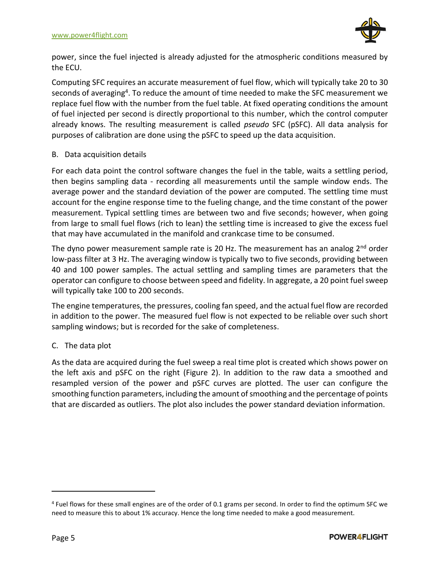

power, since the fuel injected is already adjusted for the atmospheric conditions measured by the ECU.

Computing SFC requires an accurate measurement of fuel flow, which will typically take 20 to 30 seconds of averaging<sup>4</sup>. To reduce the amount of time needed to make the SFC measurement we replace fuel flow with the number from the fuel table. At fixed operating conditions the amount of fuel injected per second is directly proportional to this number, which the control computer already knows. The resulting measurement is called *pseudo* SFC (pSFC). All data analysis for purposes of calibration are done using the pSFC to speed up the data acquisition.

# <span id="page-8-0"></span>B. Data acquisition details

For each data point the control software changes the fuel in the table, waits a settling period, then begins sampling data - recording all measurements until the sample window ends. The average power and the standard deviation of the power are computed. The settling time must account for the engine response time to the fueling change, and the time constant of the power measurement. Typical settling times are between two and five seconds; however, when going from large to small fuel flows (rich to lean) the settling time is increased to give the excess fuel that may have accumulated in the manifold and crankcase time to be consumed.

The dyno power measurement sample rate is 20 Hz. The measurement has an analog 2<sup>nd</sup> order low-pass filter at 3 Hz. The averaging window is typically two to five seconds, providing between 40 and 100 power samples. The actual settling and sampling times are parameters that the operator can configure to choose between speed and fidelity. In aggregate, a 20 point fuelsweep will typically take 100 to 200 seconds.

The engine temperatures, the pressures, cooling fan speed, and the actual fuel flow are recorded in addition to the power. The measured fuel flow is not expected to be reliable over such short sampling windows; but is recorded for the sake of completeness.

# <span id="page-8-1"></span>C. The data plot

As the data are acquired during the fuel sweep a real time plot is created which shows power on the left axis and pSFC on the right [\(Figure 2\)](#page-9-0). In addition to the raw data a smoothed and resampled version of the power and pSFC curves are plotted. The user can configure the smoothing function parameters, including the amount of smoothing and the percentage of points that are discarded as outliers. The plot also includes the power standard deviation information.

<sup>&</sup>lt;sup>4</sup> Fuel flows for these small engines are of the order of 0.1 grams per second. In order to find the optimum SFC we need to measure this to about 1% accuracy. Hence the long time needed to make a good measurement.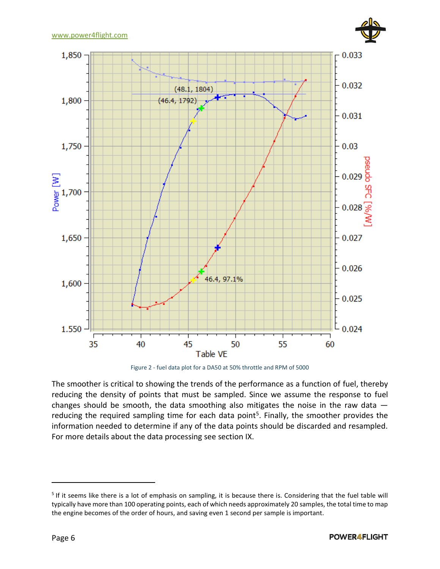

Figure 2 - fuel data plot for a DA50 at 50% throttle and RPM of 5000

<span id="page-9-0"></span>The smoother is critical to showing the trends of the performance as a function of fuel, thereby reducing the density of points that must be sampled. Since we assume the response to fuel changes should be smooth, the data smoothing also mitigates the noise in the raw data reducing the required sampling time for each data point<sup>5</sup>. Finally, the smoother provides the information needed to determine if any of the data points should be discarded and resampled. For more details about the data processing see section [IX.](#page-17-0)

<sup>&</sup>lt;sup>5</sup> If it seems like there is a lot of emphasis on sampling, it is because there is. Considering that the fuel table will typically have more than 100 operating points, each of which needs approximately 20 samples, the total time to map the engine becomes of the order of hours, and saving even 1 second per sample is important.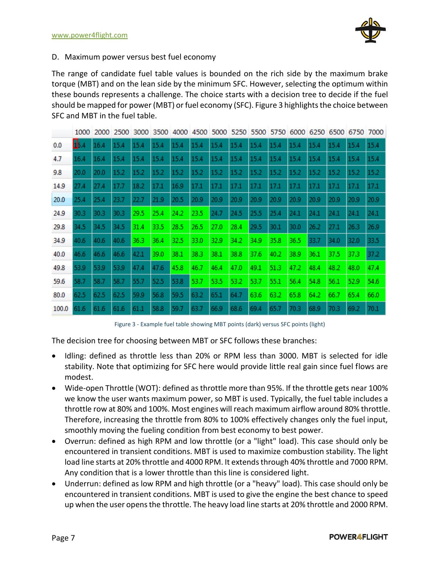

#### <span id="page-10-0"></span>D. Maximum power versus best fuel economy

The range of candidate fuel table values is bounded on the rich side by the maximum brake torque (MBT) and on the lean side by the minimum SFC. However, selecting the optimum within these bounds represents a challenge. The choice starts with a decision tree to decide if the fuel should be mapped for power (MBT) or fuel economy (SFC). [Figure 3](#page-10-1) highlights the choice between SFC and MBT in the fuel table.

|       | 1000 | 2000 | 2500 | 3000 | 3500 | 4000 | 4500 |      |      | 5000 5250 5500 5750 6000 |      |      |      | 6250 6500 | 6750 | 7000 |
|-------|------|------|------|------|------|------|------|------|------|--------------------------|------|------|------|-----------|------|------|
| 0.0   | 15.4 | 16.4 | 15.4 | 15.4 | 15.4 | 15.4 | 15.4 | 15.4 | 15.4 | 15.4                     | 15.4 | 15.4 | 15.4 | 15.4      | 15.4 | 15.4 |
| 4.7   | 16.4 | 16.4 | 15.4 | 15.4 | 15.4 | 15.4 | 15.4 | 15.4 | 15.4 | 15.4                     | 15.4 | 15.4 | 15.4 | 15.4      | 15.4 | 15.4 |
| 9.8   | 20.0 | 20.0 | 15.2 | 15.2 | 15.2 | 15.2 | 15.2 | 15.2 | 15.2 | 15.2                     | 15.2 | 15.2 | 15.2 | 15.2      | 15.2 | 15.2 |
| 14.9  | 27.4 | 27.4 | 17.7 | 18.2 | 17.1 | 16.9 | 17.1 | 17.1 | 17.1 | 17.1                     | 17.1 | 17.1 | 17.1 | 17.1      | 17.1 | 17.1 |
| 20.0  | 25.4 | 25.4 | 23.7 | 22.7 | 21.9 | 20.5 | 20.9 | 20.9 | 20.9 | 20.9                     | 20.9 | 20.9 | 20.9 | 20.9      | 20.9 | 20.9 |
| 24.9  | 30.3 | 30.3 | 30.3 | 29.5 | 25.4 | 24.2 | 23.5 | 24.7 | 24.5 | 25.5                     | 25.4 | 24.1 | 24.1 | 24.1      | 24.1 | 24.1 |
| 29.8  | 34.5 | 34.5 | 34.5 | 31.4 | 33.5 | 28.5 | 26.5 | 27.0 | 28.4 | 29.5                     | 30.1 | 30.0 | 26.2 | 27.1      | 26.3 | 26.9 |
| 34.9  | 40.6 | 40.6 | 40.6 | 36.3 | 36.4 | 32.5 | 33.0 | 32.9 | 34.2 | 34.9                     | 35.8 | 36.5 | 33.7 | 34.0      | 32.0 | 33.5 |
| 40.0  | 46.6 | 46.6 | 46.6 | 42.1 | 39.0 | 38.1 | 38.3 | 38.1 | 38.8 | 37.6                     | 40.2 | 38.9 | 36.1 | 37.5      | 37.3 | 37.2 |
| 49.8  | 53.9 | 53.9 | 53.9 | 47.4 | 47.6 | 45.8 | 46.7 | 46.4 | 47.0 | 49.1                     | 51.3 | 47.2 | 48.4 | 48.2      | 48.0 | 47.4 |
| 59.6  | 58.7 | 58.7 | 58.7 | 55.7 | 52.5 | 53.8 | 53.7 | 53.5 | 53.2 | 53.7                     | 55.1 | 56.4 | 54.8 | 56.1      | 52.9 | 54.6 |
| 80.0  | 62.5 | 62.5 | 62.5 | 59.9 | 56.8 | 59.5 | 63.2 | 65.1 | 64.7 | 63.6                     | 63.2 | 65.8 | 64.2 | 66.7      | 65.4 | 66.0 |
| 100.0 | 61.6 | 61.6 | 61.6 | 61.1 | 58.8 | 59.7 | 63.7 | 66.9 | 68.6 | 69.4                     | 65.7 | 70.3 | 68.9 | 70.3      | 69.2 | 70.1 |

Figure 3 - Example fuel table showing MBT points (dark) versus SFC points (light)

<span id="page-10-1"></span>The decision tree for choosing between MBT or SFC follows these branches:

- Idling: defined as throttle less than 20% or RPM less than 3000. MBT is selected for idle stability. Note that optimizing for SFC here would provide little real gain since fuel flows are modest.
- Wide-open Throttle (WOT): defined as throttle more than 95%. If the throttle gets near 100% we know the user wants maximum power, so MBT is used. Typically, the fuel table includes a throttle row at 80% and 100%. Most engines will reach maximum airflow around 80% throttle. Therefore, increasing the throttle from 80% to 100% effectively changes only the fuel input, smoothly moving the fueling condition from best economy to best power.
- Overrun: defined as high RPM and low throttle (or a "light" load). This case should only be encountered in transient conditions. MBT is used to maximize combustion stability. The light load line starts at 20% throttle and 4000 RPM. It extends through 40% throttle and 7000 RPM. Any condition that is a lower throttle than this line is considered light.
- Underrun: defined as low RPM and high throttle (or a "heavy" load). This case should only be encountered in transient conditions. MBT is used to give the engine the best chance to speed up when the user opens the throttle. The heavy load line starts at 20% throttle and 2000 RPM.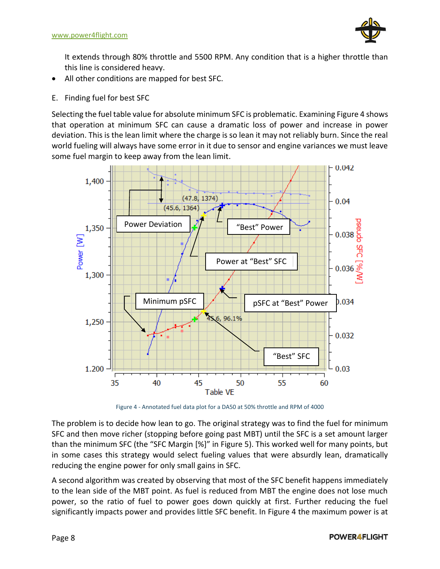

It extends through 80% throttle and 5500 RPM. Any condition that is a higher throttle than this line is considered heavy.

- All other conditions are mapped for best SFC.
- <span id="page-11-0"></span>E. Finding fuel for best SFC

Selecting the fuel table value for absolute minimum SFC is problematic. Examinin[g Figure 4](#page-11-1) shows that operation at minimum SFC can cause a dramatic loss of power and increase in power deviation. This is the lean limit where the charge is so lean it may not reliably burn. Since the real world fueling will always have some error in it due to sensor and engine variances we must leave some fuel margin to keep away from the lean limit.



Figure 4 - Annotated fuel data plot for a DA50 at 50% throttle and RPM of 4000

<span id="page-11-1"></span>The problem is to decide how lean to go. The original strategy was to find the fuel for minimum SFC and then move richer (stopping before going past MBT) until the SFC is a set amount larger than the minimum SFC (the "SFC Margin [%]" in [Figure 5\)](#page-12-2). This worked well for many points, but in some cases this strategy would select fueling values that were absurdly lean, dramatically reducing the engine power for only small gains in SFC.

A second algorithm was created by observing that most of the SFC benefit happens immediately to the lean side of the MBT point. As fuel is reduced from MBT the engine does not lose much power, so the ratio of fuel to power goes down quickly at first. Further reducing the fuel significantly impacts power and provides little SFC benefit. In [Figure 4](#page-11-1) the maximum power is at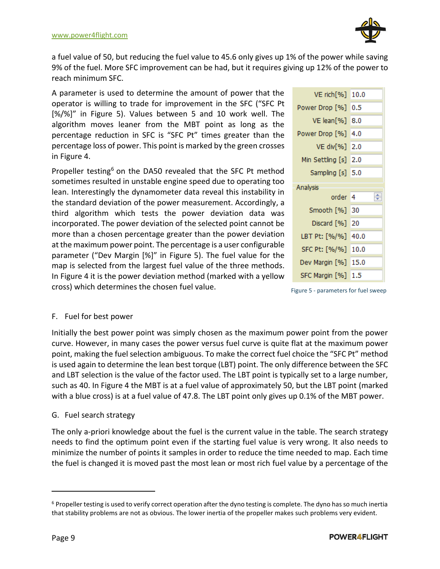

a fuel value of 50, but reducing the fuel value to 45.6 only gives up 1% of the power while saving 9% of the fuel. More SFC improvement can be had, but it requires giving up 12% of the power to reach minimum SFC.

A parameter is used to determine the amount of power that the operator is willing to trade for improvement in the SFC ("SFC Pt [%/%]" in [Figure 5\)](#page-12-2). Values between 5 and 10 work well. The algorithm moves leaner from the MBT point as long as the percentage reduction in SFC is "SFC Pt" times greater than the percentage loss of power. This point is marked by the green crosses in [Figure 4.](#page-11-1)

Propeller testing<sup>6</sup> on the DA50 revealed that the SFC Pt method sometimes resulted in unstable engine speed due to operating too lean. Interestingly the dynamometer data reveal this instability in the standard deviation of the power measurement. Accordingly, a third algorithm which tests the power deviation data was incorporated. The power deviation of the selected point cannot be more than a chosen percentage greater than the power deviation at the maximum power point. The percentage is a user configurable parameter ("Dev Margin [%]" in [Figure 5\)](#page-12-2). The fuel value for the map is selected from the largest fuel value of the three methods. In [Figure 4](#page-11-1) it is the power deviation method (marked with a yellow cross) which determines the chosen fuel value.

| VE rich[%]       | 10.0 |
|------------------|------|
| Power Drop [%]   | 0.5  |
| VE lean[%]       | 8.0  |
| Power Drop [%]   | 4.0  |
| VE div[%]        | 2.0  |
| Min Settling [s] | 2.0  |
| Sampling [s]     | 5.0  |
|                  |      |
| Analysis         |      |
| order            | 4    |
| Smooth [%]       | 30   |
| Discard [%]      | 20   |
| LBT Pt: [%/%]    | 40.0 |
| SFC Pt: [%/%]    | 10.0 |
| Dev Margin [%]   | 15.0 |

<span id="page-12-2"></span>Figure 5 - parameters for fuel sweep

# <span id="page-12-0"></span>F. Fuel for best power

Initially the best power point was simply chosen as the maximum power point from the power curve. However, in many cases the power versus fuel curve is quite flat at the maximum power point, making the fuel selection ambiguous. To make the correct fuel choice the "SFC Pt" method is used again to determine the lean best torque (LBT) point. The only difference between the SFC and LBT selection is the value of the factor used. The LBT point is typically set to a large number, such as 40. In [Figure 4](#page-11-1) the MBT is at a fuel value of approximately 50, but the LBT point (marked with a blue cross) is at a fuel value of 47.8. The LBT point only gives up 0.1% of the MBT power.

# <span id="page-12-1"></span>G. Fuel search strategy

The only a-priori knowledge about the fuel is the current value in the table. The search strategy needs to find the optimum point even if the starting fuel value is very wrong. It also needs to minimize the number of points it samples in order to reduce the time needed to map. Each time the fuel is changed it is moved past the most lean or most rich fuel value by a percentage of the

 $6$  Propeller testing is used to verify correct operation after the dyno testing is complete. The dyno has so much inertia that stability problems are not as obvious. The lower inertia of the propeller makes such problems very evident.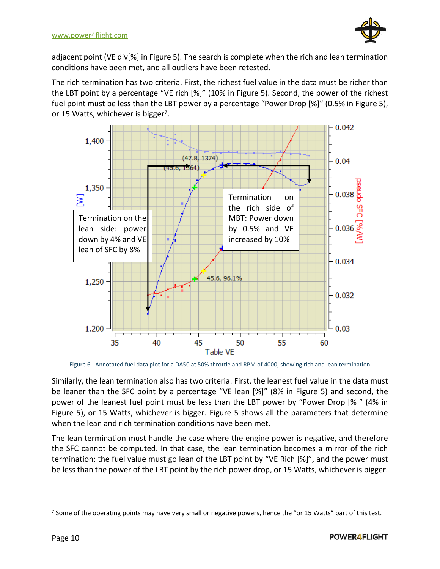

adjacent point (VE div[%] i[n Figure 5\)](#page-12-2). The search is complete when the rich and lean termination conditions have been met, and all outliers have been retested.

The rich termination has two criteria. First, the richest fuel value in the data must be richer than the LBT point by a percentage "VE rich [%]" (10% in [Figure 5\)](#page-12-2). Second, the power of the richest fuel point must be less than the LBT power by a percentage "Power Drop [%]" (0.5% in [Figure 5\)](#page-12-2), or 15 Watts, whichever is bigger<sup>7</sup>.



Figure 6 - Annotated fuel data plot for a DA50 at 50% throttle and RPM of 4000, showing rich and lean termination

Similarly, the lean termination also has two criteria. First, the leanest fuel value in the data must be leaner than the SFC point by a percentage "VE lean [%]" (8% in [Figure 5\)](#page-12-2) and second, the power of the leanest fuel point must be less than the LBT power by "Power Drop [%]" (4% in [Figure 5\)](#page-12-2), or 15 Watts, whichever is bigger. [Figure 5](#page-12-2) shows all the parameters that determine when the lean and rich termination conditions have been met.

The lean termination must handle the case where the engine power is negative, and therefore the SFC cannot be computed. In that case, the lean termination becomes a mirror of the rich termination: the fuel value must go lean of the LBT point by "VE Rich [%]", and the power must be less than the power of the LBT point by the rich power drop, or 15 Watts, whichever is bigger.

<sup>&</sup>lt;sup>7</sup> Some of the operating points may have very small or negative powers, hence the "or 15 Watts" part of this test.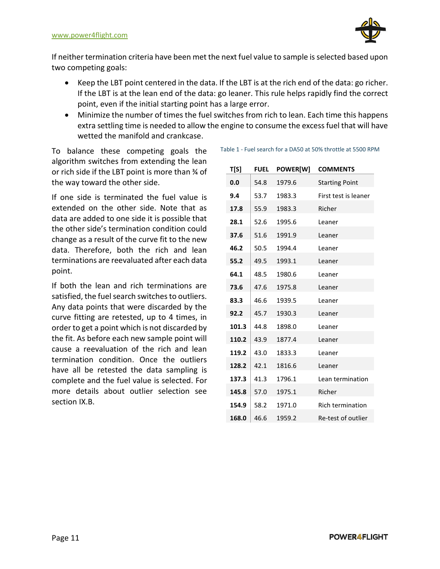

If neither termination criteria have been met the next fuel value to sample is selected based upon two competing goals:

- Keep the LBT point centered in the data. If the LBT is at the rich end of the data: go richer. If the LBT is at the lean end of the data: go leaner. This rule helps rapidly find the correct point, even if the initial starting point has a large error.
- Minimize the number of times the fuel switches from rich to lean. Each time this happens extra settling time is needed to allow the engine to consume the excess fuel that will have wetted the manifold and crankcase.

To balance these competing goals the algorithm switches from extending the lean or rich side if the LBT point is more than ¾ of the way toward the other side.

If one side is terminated the fuel value is extended on the other side. Note that as data are added to one side it is possible that the other side's termination condition could change as a result of the curve fit to the new data. Therefore, both the rich and lean terminations are reevaluated after each data point.

If both the lean and rich terminations are satisfied, the fuel search switches to outliers. Any data points that were discarded by the curve fitting are retested, up to 4 times, in order to get a point which is not discarded by the fit. As before each new sample point will cause a reevaluation of the rich and lean termination condition. Once the outliers have all be retested the data sampling is complete and the fuel value is selected. For more details about outlier selection see section [IX.B.](#page-17-2)

Table 1 - Fuel search for a DA50 at 50% throttle at 5500 RPM

| T[S]  | <b>FUEL</b> | POWER[W] | <b>COMMENTS</b>         |
|-------|-------------|----------|-------------------------|
| 0.0   | 54.8        | 1979.6   | <b>Starting Point</b>   |
| 9.4   | 53.7        | 1983.3   | First test is leaner    |
| 17.8  | 55.9        | 1983.3   | Richer                  |
| 28.1  | 52.6        | 1995.6   | Leaner                  |
| 37.6  | 51.6        | 1991.9   | Leaner                  |
| 46.2  | 50.5        | 1994.4   | Leaner                  |
| 55.2  | 49.5        | 1993.1   | Leaner                  |
| 64.1  | 48.5        | 1980.6   | Leaner                  |
| 73.6  | 47.6        | 1975.8   | Leaner                  |
| 83.3  | 46.6        | 1939.5   | Leaner                  |
| 92.2  | 45.7        | 1930.3   | Leaner                  |
| 101.3 | 44.8        | 1898.0   | Leaner                  |
| 110.2 | 43.9        | 1877.4   | Leaner                  |
| 119.2 | 43.0        | 1833.3   | Leaner                  |
| 128.2 | 42.1        | 1816.6   | Leaner                  |
| 137.3 | 41.3        | 1796.1   | Lean termination        |
| 145.8 | 57.0        | 1975.1   | Richer                  |
| 154.9 | 58.2        | 1971.0   | <b>Rich termination</b> |
| 168.0 | 46.6        | 1959.2   | Re-test of outlier      |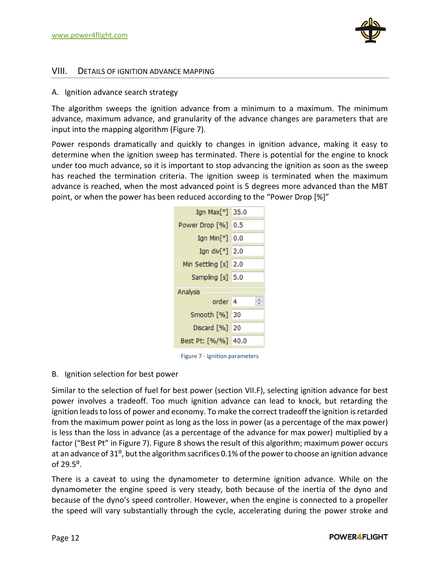

#### <span id="page-15-0"></span>VIII. DETAILS OF IGNITION ADVANCE MAPPING

#### <span id="page-15-1"></span>A. Ignition advance search strategy

The algorithm sweeps the ignition advance from a minimum to a maximum. The minimum advance, maximum advance, and granularity of the advance changes are parameters that are input into the mapping algorithm [\(Figure 7\)](#page-15-3).

Power responds dramatically and quickly to changes in ignition advance, making it easy to determine when the ignition sweep has terminated. There is potential for the engine to knock under too much advance, so it is important to stop advancing the ignition as soon as the sweep has reached the termination criteria. The ignition sweep is terminated when the maximum advance is reached, when the most advanced point is 5 degrees more advanced than the MBT point, or when the power has been reduced according to the "Power Drop [%]"



Figure 7 - Ignition parameters

#### <span id="page-15-3"></span><span id="page-15-2"></span>B. Ignition selection for best power

Similar to the selection of fuel for best power (section [VII.F\)](#page-12-0), selecting ignition advance for best power involves a tradeoff. Too much ignition advance can lead to knock, but retarding the ignition leads to loss of power and economy. To make the correct tradeoff the ignition is retarded from the maximum power point as long as the loss in power (as a percentage of the max power) is less than the loss in advance (as a percentage of the advance for max power) multiplied by a factor ("Best Pt" in [Figure 7\)](#page-15-3)[. Figure 8](#page-16-1) shows the result of this algorithm; maximum power occurs at an advance of 31<sup>o</sup>, but the algorithm sacrifices 0.1% of the power to choose an ignition advance of 29.5⁰.

There is a caveat to using the dynamometer to determine ignition advance. While on the dynamometer the engine speed is very steady, both because of the inertia of the dyno and because of the dyno's speed controller. However, when the engine is connected to a propeller the speed will vary substantially through the cycle, accelerating during the power stroke and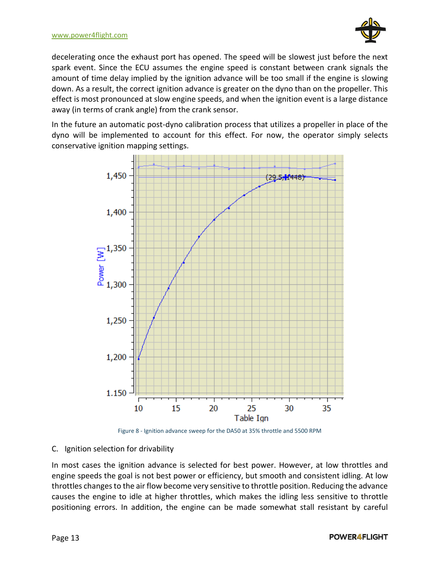

decelerating once the exhaust port has opened. The speed will be slowest just before the next spark event. Since the ECU assumes the engine speed is constant between crank signals the amount of time delay implied by the ignition advance will be too small if the engine is slowing down. As a result, the correct ignition advance is greater on the dyno than on the propeller. This effect is most pronounced at slow engine speeds, and when the ignition event is a large distance away (in terms of crank angle) from the crank sensor.

In the future an automatic post-dyno calibration process that utilizes a propeller in place of the dyno will be implemented to account for this effect. For now, the operator simply selects conservative ignition mapping settings.





<span id="page-16-1"></span><span id="page-16-0"></span>C. Ignition selection for drivability

In most cases the ignition advance is selected for best power. However, at low throttles and engine speeds the goal is not best power or efficiency, but smooth and consistent idling. At low throttles changes to the air flow become very sensitive to throttle position. Reducing the advance causes the engine to idle at higher throttles, which makes the idling less sensitive to throttle positioning errors. In addition, the engine can be made somewhat stall resistant by careful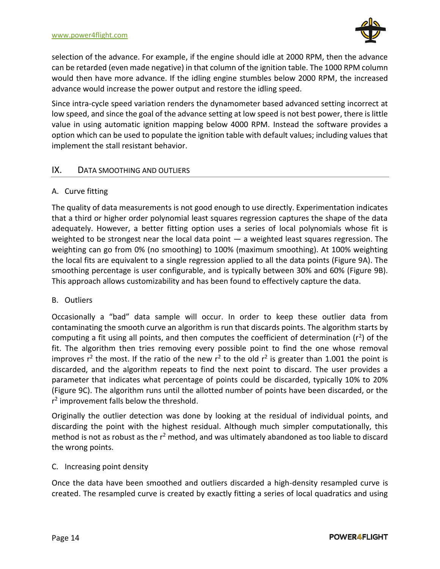

selection of the advance. For example, if the engine should idle at 2000 RPM, then the advance can be retarded (even made negative) in that column of the ignition table. The 1000 RPM column would then have more advance. If the idling engine stumbles below 2000 RPM, the increased advance would increase the power output and restore the idling speed.

Since intra-cycle speed variation renders the dynamometer based advanced setting incorrect at low speed, and since the goal of the advance setting at low speed is not best power, there is little value in using automatic ignition mapping below 4000 RPM. Instead the software provides a option which can be used to populate the ignition table with default values; including values that implement the stall resistant behavior.

# <span id="page-17-0"></span>IX. DATA SMOOTHING AND OUTLIERS

# <span id="page-17-1"></span>A. Curve fitting

The quality of data measurements is not good enough to use directly. Experimentation indicates that a third or higher order polynomial least squares regression captures the shape of the data adequately. However, a better fitting option uses a series of local polynomials whose fit is weighted to be strongest near the local data point  $-$  a weighted least squares regression. The weighting can go from 0% (no smoothing) to 100% (maximum smoothing). At 100% weighting the local fits are equivalent to a single regression applied to all the data points (Figure 9A). The smoothing percentage is user configurable, and is typically between 30% and 60% (Figure 9B). This approach allows customizability and has been found to effectively capture the data.

# <span id="page-17-2"></span>B. Outliers

Occasionally a "bad" data sample will occur. In order to keep these outlier data from contaminating the smooth curve an algorithm is run that discards points. The algorithm starts by computing a fit using all points, and then computes the coefficient of determination ( $r^2$ ) of the fit. The algorithm then tries removing every possible point to find the one whose removal improves  $r^2$  the most. If the ratio of the new  $r^2$  to the old  $r^2$  is greater than 1.001 the point is discarded, and the algorithm repeats to find the next point to discard. The user provides a parameter that indicates what percentage of points could be discarded, typically 10% to 20% (Figure 9C). The algorithm runs until the allotted number of points have been discarded, or the r<sup>2</sup> improvement falls below the threshold.

Originally the outlier detection was done by looking at the residual of individual points, and discarding the point with the highest residual. Although much simpler computationally, this method is not as robust as the  $r<sup>2</sup>$  method, and was ultimately abandoned as too liable to discard the wrong points.

# <span id="page-17-3"></span>C. Increasing point density

Once the data have been smoothed and outliers discarded a high-density resampled curve is created. The resampled curve is created by exactly fitting a series of local quadratics and using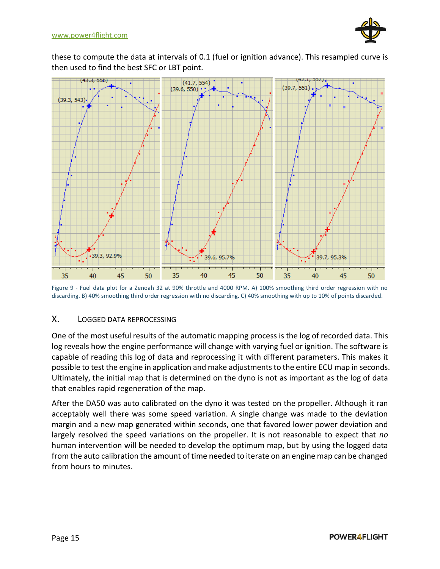

these to compute the data at intervals of 0.1 (fuel or ignition advance). This resampled curve is then used to find the best SFC or LBT point.



Figure 9 - Fuel data plot for a Zenoah 32 at 90% throttle and 4000 RPM. A) 100% smoothing third order regression with no discarding. B) 40% smoothing third order regression with no discarding. C) 40% smoothing with up to 10% of points discarded.

# <span id="page-18-0"></span>X. LOGGED DATA REPROCESSING

One of the most useful results of the automatic mapping process is the log of recorded data. This log reveals how the engine performance will change with varying fuel or ignition. The software is capable of reading this log of data and reprocessing it with different parameters. This makes it possible to test the engine in application and make adjustments to the entire ECU map in seconds. Ultimately, the initial map that is determined on the dyno is not as important as the log of data that enables rapid regeneration of the map.

After the DA50 was auto calibrated on the dyno it was tested on the propeller. Although it ran acceptably well there was some speed variation. A single change was made to the deviation margin and a new map generated within seconds, one that favored lower power deviation and largely resolved the speed variations on the propeller. It is not reasonable to expect that *no* human intervention will be needed to develop the optimum map, but by using the logged data from the auto calibration the amount of time needed to iterate on an engine map can be changed from hours to minutes.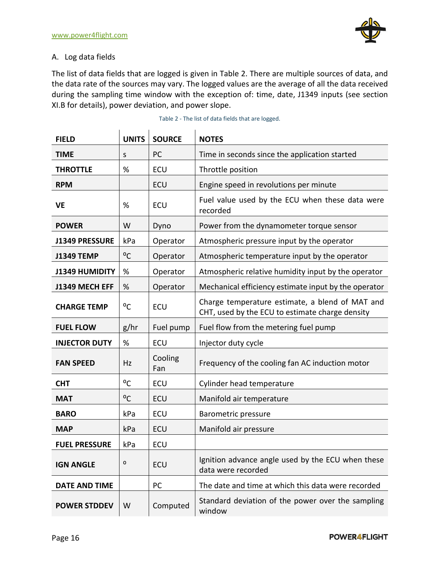

# <span id="page-19-0"></span>A. Log data fields

The list of data fields that are logged is given in [Table 2.](#page-19-1) There are multiple sources of data, and the data rate of the sources may vary. The logged values are the average of all the data received during the sampling time window with the exception of: time, date, J1349 inputs (see section [XI.B](#page-21-0) for details), power deviation, and power slope.

<span id="page-19-1"></span>

| <b>FIELD</b>         | <b>UNITS</b> | <b>SOURCE</b>  | <b>NOTES</b>                                                                                       |
|----------------------|--------------|----------------|----------------------------------------------------------------------------------------------------|
| <b>TIME</b>          | S            | PC             | Time in seconds since the application started                                                      |
| <b>THROTTLE</b>      | %            | ECU            | Throttle position                                                                                  |
| <b>RPM</b>           |              | ECU            | Engine speed in revolutions per minute                                                             |
| <b>VE</b>            | %            | ECU            | Fuel value used by the ECU when these data were<br>recorded                                        |
| <b>POWER</b>         | W            | Dyno           | Power from the dynamometer torque sensor                                                           |
| J1349 PRESSURE       | kPa          | Operator       | Atmospheric pressure input by the operator                                                         |
| <b>J1349 TEMP</b>    | °C           | Operator       | Atmospheric temperature input by the operator                                                      |
| J1349 HUMIDITY       | %            | Operator       | Atmospheric relative humidity input by the operator                                                |
| J1349 MECH EFF       | %            | Operator       | Mechanical efficiency estimate input by the operator                                               |
| <b>CHARGE TEMP</b>   | °C           | <b>ECU</b>     | Charge temperature estimate, a blend of MAT and<br>CHT, used by the ECU to estimate charge density |
| <b>FUEL FLOW</b>     | g/hr         | Fuel pump      | Fuel flow from the metering fuel pump                                                              |
| <b>INJECTOR DUTY</b> | %            | ECU            | Injector duty cycle                                                                                |
| <b>FAN SPEED</b>     | Hz           | Cooling<br>Fan | Frequency of the cooling fan AC induction motor                                                    |
| <b>CHT</b>           | °C           | ECU            | Cylinder head temperature                                                                          |
| <b>MAT</b>           | °C           | ECU            | Manifold air temperature                                                                           |
| <b>BARO</b>          | kPa          | ECU            | Barometric pressure                                                                                |
| <b>MAP</b>           | kPa          | ECU            | Manifold air pressure                                                                              |
| <b>FUEL PRESSURE</b> | kPa          | <b>ECU</b>     |                                                                                                    |
| <b>IGN ANGLE</b>     | o            | ECU            | Ignition advance angle used by the ECU when these<br>data were recorded                            |
| <b>DATE AND TIME</b> |              | PC             | The date and time at which this data were recorded                                                 |
|                      |              |                |                                                                                                    |

Table 2 - The list of data fields that are logged.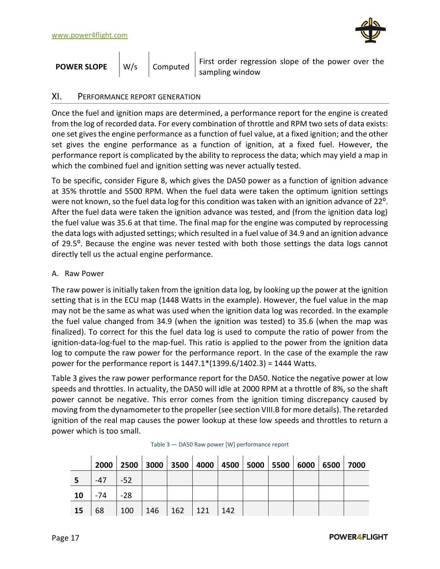

| <b>POWER SLOPE</b> |  | W/s   Computed | First order regression slope of the power over the<br>sampling window |
|--------------------|--|----------------|-----------------------------------------------------------------------|
|--------------------|--|----------------|-----------------------------------------------------------------------|

# <span id="page-20-0"></span>XI. PERFORMANCE REPORT GENERATION

Once the fuel and ignition maps are determined, a performance report for the engine is created from the log of recorded data. For every combination of throttle and RPM two sets of data exists: one set gives the engine performance as a function of fuel value, at a fixed ignition; and the other set gives the engine performance as a function of ignition, at a fixed fuel. However, the performance report is complicated by the ability to reprocess the data; which may yield a map in which the combined fuel and ignition setting was never actually tested.

To be specific, consider [Figure 8,](#page-16-1) which gives the DA50 power as a function of ignition advance at 35% throttle and 5500 RPM. When the fuel data were taken the optimum ignition settings were not known, so the fuel data log for this condition was taken with an ignition advance of 22<sup>o</sup>. After the fuel data were taken the ignition advance was tested, and (from the ignition data log) the fuel value was 35.6 at that time. The final map for the engine was computed by reprocessing the data logs with adjusted settings; which resulted in a fuel value of 34.9 and an ignition advance of 29.5⁰. Because the engine was never tested with both those settings the data logs cannot directly tell us the actual engine performance.

#### <span id="page-20-1"></span>A. Raw Power

The raw power is initially taken from the ignition data log, by looking up the power at the ignition setting that is in the ECU map (1448 Watts in the example). However, the fuel value in the map may not be the same as what was used when the ignition data log was recorded. In the example the fuel value changed from 34.9 (when the ignition was tested) to 35.6 (when the map was finalized). To correct for this the fuel data log is used to compute the ratio of power from the ignition-data-log-fuel to the map-fuel. This ratio is applied to the power from the ignition data log to compute the raw power for the performance report. In the case of the example the raw power for the performance report is  $1447.1*(1399.6/1402.3) = 1444$  Watts.

[Table 3](#page-20-2) gives the raw power performance report for the DA50. Notice the negative power at low speeds and throttles. In actuality, the DA50 will idle at 2000 RPM at a throttle of 8%, so the shaft power cannot be negative. This error comes from the ignition timing discrepancy caused by moving from the dynamometer to the propeller (see section [VIII.B](#page-15-2) for more details). The retarded ignition of the real map causes the power lookup at these low speeds and throttles to return a power which is too small.

<span id="page-20-2"></span>

|           | 2000  | 2500  | 3000                | 3500 |     |     |  | 4000   4500   5000   5500   6000   6500   7000 |  |
|-----------|-------|-------|---------------------|------|-----|-----|--|------------------------------------------------|--|
|           | $-47$ | $-52$ |                     |      |     |     |  |                                                |  |
| 10        | -74   | $-28$ |                     |      |     |     |  |                                                |  |
| <b>15</b> | 68    | 100   | $\vert$ 146 $\vert$ | 162  | 121 | 142 |  |                                                |  |

| Table 3 - DA50 Raw power [W] performance report |  |  |  |
|-------------------------------------------------|--|--|--|
|-------------------------------------------------|--|--|--|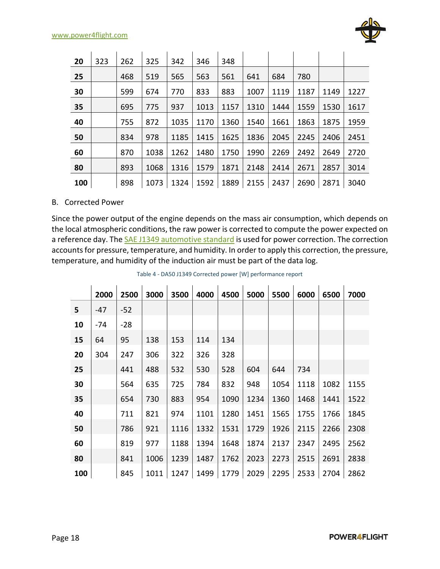

| 20  | 323 | 262 | 325  | 342  | 346  | 348  |      |      |      |      |      |
|-----|-----|-----|------|------|------|------|------|------|------|------|------|
| 25  |     | 468 | 519  | 565  | 563  | 561  | 641  | 684  | 780  |      |      |
| 30  |     | 599 | 674  | 770  | 833  | 883  | 1007 | 1119 | 1187 | 1149 | 1227 |
| 35  |     | 695 | 775  | 937  | 1013 | 1157 | 1310 | 1444 | 1559 | 1530 | 1617 |
| 40  |     | 755 | 872  | 1035 | 1170 | 1360 | 1540 | 1661 | 1863 | 1875 | 1959 |
| 50  |     | 834 | 978  | 1185 | 1415 | 1625 | 1836 | 2045 | 2245 | 2406 | 2451 |
| 60  |     | 870 | 1038 | 1262 | 1480 | 1750 | 1990 | 2269 | 2492 | 2649 | 2720 |
| 80  |     | 893 | 1068 | 1316 | 1579 | 1871 | 2148 | 2414 | 2671 | 2857 | 3014 |
| 100 |     | 898 | 1073 | 1324 | 1592 | 1889 | 2155 | 2437 | 2690 | 2871 | 3040 |

#### <span id="page-21-0"></span>B. Corrected Power

Since the power output of the engine depends on the mass air consumption, which depends on the local atmospheric conditions, the raw power is corrected to compute the power expected on a reference day. The **SAE J1349 automotive standard** is used for power correction. The correction accounts for pressure, temperature, and humidity. In order to apply this correction, the pressure, temperature, and humidity of the induction air must be part of the data log.

|     | 2000 | 2500  | 3000 | 3500 | 4000 | 4500 | 5000 | 5500 | 6000 | 6500 | 7000 |
|-----|------|-------|------|------|------|------|------|------|------|------|------|
| 5   | -47  | $-52$ |      |      |      |      |      |      |      |      |      |
| 10  | -74  | $-28$ |      |      |      |      |      |      |      |      |      |
| 15  | 64   | 95    | 138  | 153  | 114  | 134  |      |      |      |      |      |
| 20  | 304  | 247   | 306  | 322  | 326  | 328  |      |      |      |      |      |
| 25  |      | 441   | 488  | 532  | 530  | 528  | 604  | 644  | 734  |      |      |
| 30  |      | 564   | 635  | 725  | 784  | 832  | 948  | 1054 | 1118 | 1082 | 1155 |
| 35  |      | 654   | 730  | 883  | 954  | 1090 | 1234 | 1360 | 1468 | 1441 | 1522 |
| 40  |      | 711   | 821  | 974  | 1101 | 1280 | 1451 | 1565 | 1755 | 1766 | 1845 |
| 50  |      | 786   | 921  | 1116 | 1332 | 1531 | 1729 | 1926 | 2115 | 2266 | 2308 |
| 60  |      | 819   | 977  | 1188 | 1394 | 1648 | 1874 | 2137 | 2347 | 2495 | 2562 |
| 80  |      | 841   | 1006 | 1239 | 1487 | 1762 | 2023 | 2273 | 2515 | 2691 | 2838 |
| 100 |      | 845   | 1011 | 1247 | 1499 | 1779 | 2029 | 2295 | 2533 | 2704 | 2862 |

Table 4 - DA50 J1349 Corrected power [W] performance report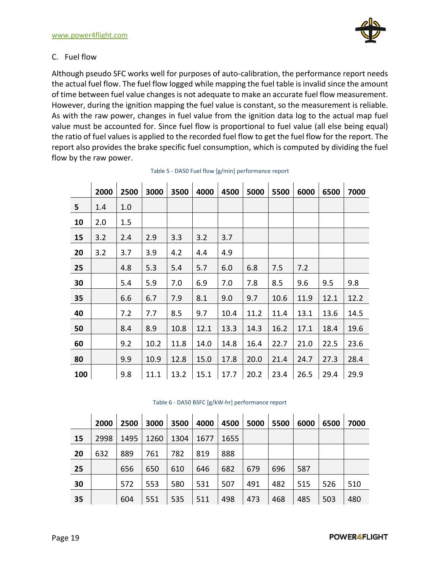

# <span id="page-22-0"></span>C. Fuel flow

Although pseudo SFC works well for purposes of auto-calibration, the performance report needs the actual fuel flow. The fuel flow logged while mapping the fuel table is invalid since the amount of time between fuel value changes is not adequate to make an accurate fuel flow measurement. However, during the ignition mapping the fuel value is constant, so the measurement is reliable. As with the raw power, changes in fuel value from the ignition data log to the actual map fuel value must be accounted for. Since fuel flow is proportional to fuel value (all else being equal) the ratio of fuel values is applied to the recorded fuel flow to get the fuel flow for the report. The report also provides the brake specific fuel consumption, which is computed by dividing the fuel flow by the raw power.

|     | 2000 | 2500 | 3000 | 3500 | 4000 | 4500 | 5000 | 5500 | 6000 | 6500 | 7000 |
|-----|------|------|------|------|------|------|------|------|------|------|------|
| 5   | 1.4  | 1.0  |      |      |      |      |      |      |      |      |      |
| 10  | 2.0  | 1.5  |      |      |      |      |      |      |      |      |      |
| 15  | 3.2  | 2.4  | 2.9  | 3.3  | 3.2  | 3.7  |      |      |      |      |      |
| 20  | 3.2  | 3.7  | 3.9  | 4.2  | 4.4  | 4.9  |      |      |      |      |      |
| 25  |      | 4.8  | 5.3  | 5.4  | 5.7  | 6.0  | 6.8  | 7.5  | 7.2  |      |      |
| 30  |      | 5.4  | 5.9  | 7.0  | 6.9  | 7.0  | 7.8  | 8.5  | 9.6  | 9.5  | 9.8  |
| 35  |      | 6.6  | 6.7  | 7.9  | 8.1  | 9.0  | 9.7  | 10.6 | 11.9 | 12.1 | 12.2 |
| 40  |      | 7.2  | 7.7  | 8.5  | 9.7  | 10.4 | 11.2 | 11.4 | 13.1 | 13.6 | 14.5 |
| 50  |      | 8.4  | 8.9  | 10.8 | 12.1 | 13.3 | 14.3 | 16.2 | 17.1 | 18.4 | 19.6 |
| 60  |      | 9.2  | 10.2 | 11.8 | 14.0 | 14.8 | 16.4 | 22.7 | 21.0 | 22.5 | 23.6 |
| 80  |      | 9.9  | 10.9 | 12.8 | 15.0 | 17.8 | 20.0 | 21.4 | 24.7 | 27.3 | 28.4 |
| 100 |      | 9.8  | 11.1 | 13.2 | 15.1 | 17.7 | 20.2 | 23.4 | 26.5 | 29.4 | 29.9 |

|    | 2000 | 2500 | 3000 | 3500 | 4000 | 4500 | 5000 | 5500 | 6000 | 6500 | 7000 |
|----|------|------|------|------|------|------|------|------|------|------|------|
| 15 | 2998 | 1495 | 1260 | 1304 | 1677 | 1655 |      |      |      |      |      |
| 20 | 632  | 889  | 761  | 782  | 819  | 888  |      |      |      |      |      |
| 25 |      | 656  | 650  | 610  | 646  | 682  | 679  | 696  | 587  |      |      |
| 30 |      | 572  | 553  | 580  | 531  | 507  | 491  | 482  | 515  | 526  | 510  |
| 35 |      | 604  | 551  | 535  | 511  | 498  | 473  | 468  | 485  | 503  | 480  |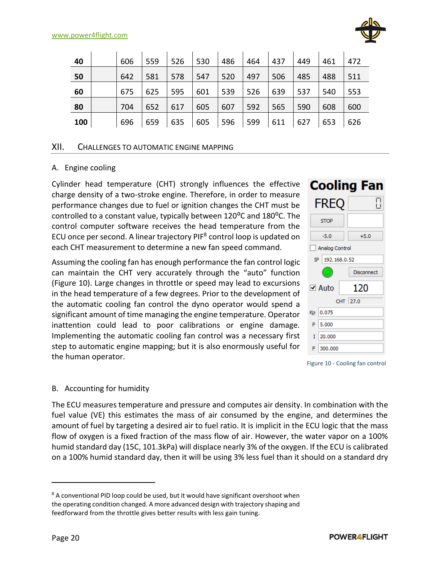

| 40  | 606 | 559 | 526 | 530 | 486 | 464 | 437 | 449 | 461 | 472 |
|-----|-----|-----|-----|-----|-----|-----|-----|-----|-----|-----|
| 50  | 642 | 581 | 578 | 547 | 520 | 497 | 506 | 485 | 488 | 511 |
| 60  | 675 | 625 | 595 | 601 | 539 | 526 | 639 | 537 | 540 | 553 |
| 80  | 704 | 652 | 617 | 605 | 607 | 592 | 565 | 590 | 608 | 600 |
| 100 | 696 | 659 | 635 | 605 | 596 | 599 | 611 | 627 | 653 | 626 |

# <span id="page-23-0"></span>XII. CHALLENGES TO AUTOMATIC ENGINE MAPPING

#### <span id="page-23-1"></span>A. Engine cooling

Cylinder head temperature (CHT) strongly influences the effective charge density of a two-stroke engine. Therefore, in order to measure performance changes due to fuel or ignition changes the CHT must be controlled to a constant value, typically between 120<sup>o</sup>C and 180<sup>o</sup>C. The control computer software receives the head temperature from the ECU once per second. A linear trajectory PIF<sup>8</sup> control loop is updated on each CHT measurement to determine a new fan speed command.

Assuming the cooling fan has enough performance the fan control logic can maintain the CHT very accurately through the "auto" function (Figure 10). Large changes in throttle or speed may lead to excursions in the head temperature of a few degrees. Prior to the development of the automatic cooling fan control the dyno operator would spend a significant amount of time managing the engine temperature. Operator inattention could lead to poor calibrations or engine damage. Implementing the automatic cooling fan control was a necessary first step to automatic engine mapping; but it is also enormously useful for the human operator.



Figure 10 - Cooling fan control

#### <span id="page-23-2"></span>B. Accounting for humidity

The ECU measures temperature and pressure and computes air density. In combination with the fuel value (VE) this estimates the mass of air consumed by the engine, and determines the amount of fuel by targeting a desired air to fuel ratio. It is implicit in the ECU logic that the mass flow of oxygen is a fixed fraction of the mass flow of air. However, the water vapor on a 100% humid standard day (15C, 101.3kPa) will displace nearly 3% of the oxygen. If the ECU is calibrated on a 100% humid standard day, then it will be using 3% less fuel than it should on a standard dry

<sup>&</sup>lt;sup>8</sup> A conventional PID loop could be used, but it would have significant overshoot when the operating condition changed. A more advanced design with trajectory shaping and feedforward from the throttle gives better results with less gain tuning.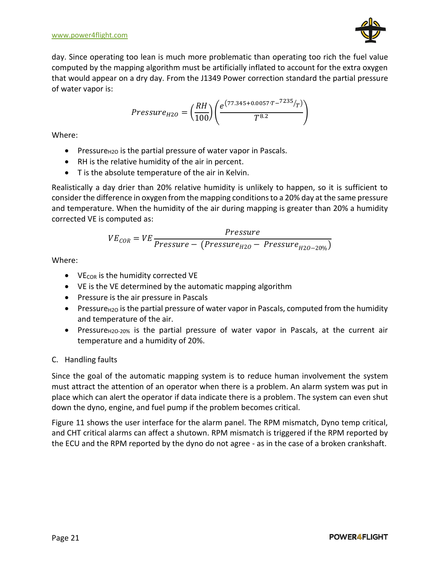day. Since operating too lean is much more problematic than operating too rich the fuel value computed by the mapping algorithm must be artificially inflated to account for the extra oxygen that would appear on a dry day. From the J1349 Power correction standard the partial pressure of water vapor is:

$$
Pressure_{H2O} = \left(\frac{RH}{100}\right) \left(\frac{e^{(77.345 + 0.0057 \cdot T - ^{7235}/T)}}{T^{8.2}}\right)
$$

Where:

- **•** Pressure $_{H2O}$  is the partial pressure of water vapor in Pascals.
- RH is the relative humidity of the air in percent.
- T is the absolute temperature of the air in Kelvin.

Realistically a day drier than 20% relative humidity is unlikely to happen, so it is sufficient to consider the difference in oxygen from the mapping conditions to a 20% day at the same pressure and temperature. When the humidity of the air during mapping is greater than 20% a humidity corrected VE is computed as:

$$
VE_{COR} = VE \frac{Pressure}{Pressure - (Pressure_{H2O} - Pressure_{H2O-20\%})}
$$

Where:

- $\bullet$  VE<sub>COR</sub> is the humidity corrected VE
- VE is the VE determined by the automatic mapping algorithm
- Pressure is the air pressure in Pascals
- **Pressure**<sub>H2O</sub> is the partial pressure of water vapor in Pascals, computed from the humidity and temperature of the air.
- Pressure $H_{120-20\%}$  is the partial pressure of water vapor in Pascals, at the current air temperature and a humidity of 20%.

# <span id="page-24-0"></span>C. Handling faults

Since the goal of the automatic mapping system is to reduce human involvement the system must attract the attention of an operator when there is a problem. An alarm system was put in place which can alert the operator if data indicate there is a problem. The system can even shut down the dyno, engine, and fuel pump if the problem becomes critical.

[Figure 11](#page-25-0) shows the user interface for the alarm panel. The RPM mismatch, Dyno temp critical, and CHT critical alarms can affect a shutown. RPM mismatch is triggered if the RPM reported by the ECU and the RPM reported by the dyno do not agree - as in the case of a broken crankshaft.